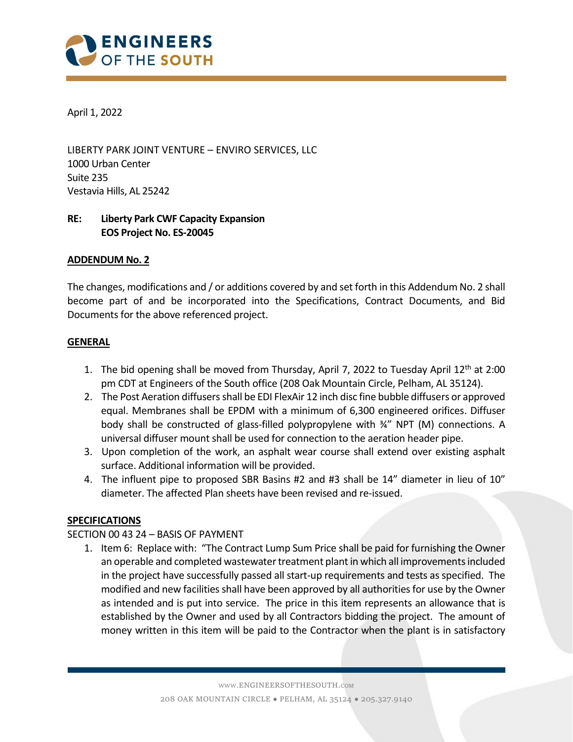

April 1, 2022

LIBERTY PARK JOINT VENTURE – ENVIRO SERVICES, LLC 1000 Urban Center Suite 235 Vestavia Hills, AL 25242

# RE: Liberty Park CWF Capacity Expansion EOS Project No. ES-20045

### ADDENDUM No. 2

The changes, modifications and / or additions covered by and set forth in this Addendum No. 2 shall become part of and be incorporated into the Specifications, Contract Documents, and Bid Documents for the above referenced project.

### **GENERAL**

- 1. The bid opening shall be moved from Thursday, April 7, 2022 to Tuesday April  $12<sup>th</sup>$  at 2:00 pm CDT at Engineers of the South office (208 Oak Mountain Circle, Pelham, AL 35124).
- 2. The Post Aeration diffusers shall be EDI FlexAir 12 inch disc fine bubble diffusers or approved equal. Membranes shall be EPDM with a minimum of 6,300 engineered orifices. Diffuser body shall be constructed of glass-filled polypropylene with 34" NPT (M) connections. A universal diffuser mount shall be used for connection to the aeration header pipe.
- 3. Upon completion of the work, an asphalt wear course shall extend over existing asphalt surface. Additional information will be provided.
- 4. The influent pipe to proposed SBR Basins #2 and #3 shall be 14" diameter in lieu of 10" diameter. The affected Plan sheets have been revised and re-issued.

# **SPECIFICATIONS**

# SECTION 00 43 24 – BASIS OF PAYMENT

1. Item 6: Replace with: "The Contract Lump Sum Price shall be paid for furnishing the Owner an operable and completed wastewater treatment plant in which all improvements included in the project have successfully passed all start-up requirements and tests as specified. The modified and new facilities shall have been approved by all authorities for use by the Owner as intended and is put into service. The price in this item represents an allowance that is established by the Owner and used by all Contractors bidding the project. The amount of money written in this item will be paid to the Contractor when the plant is in satisfactory

i<br>I